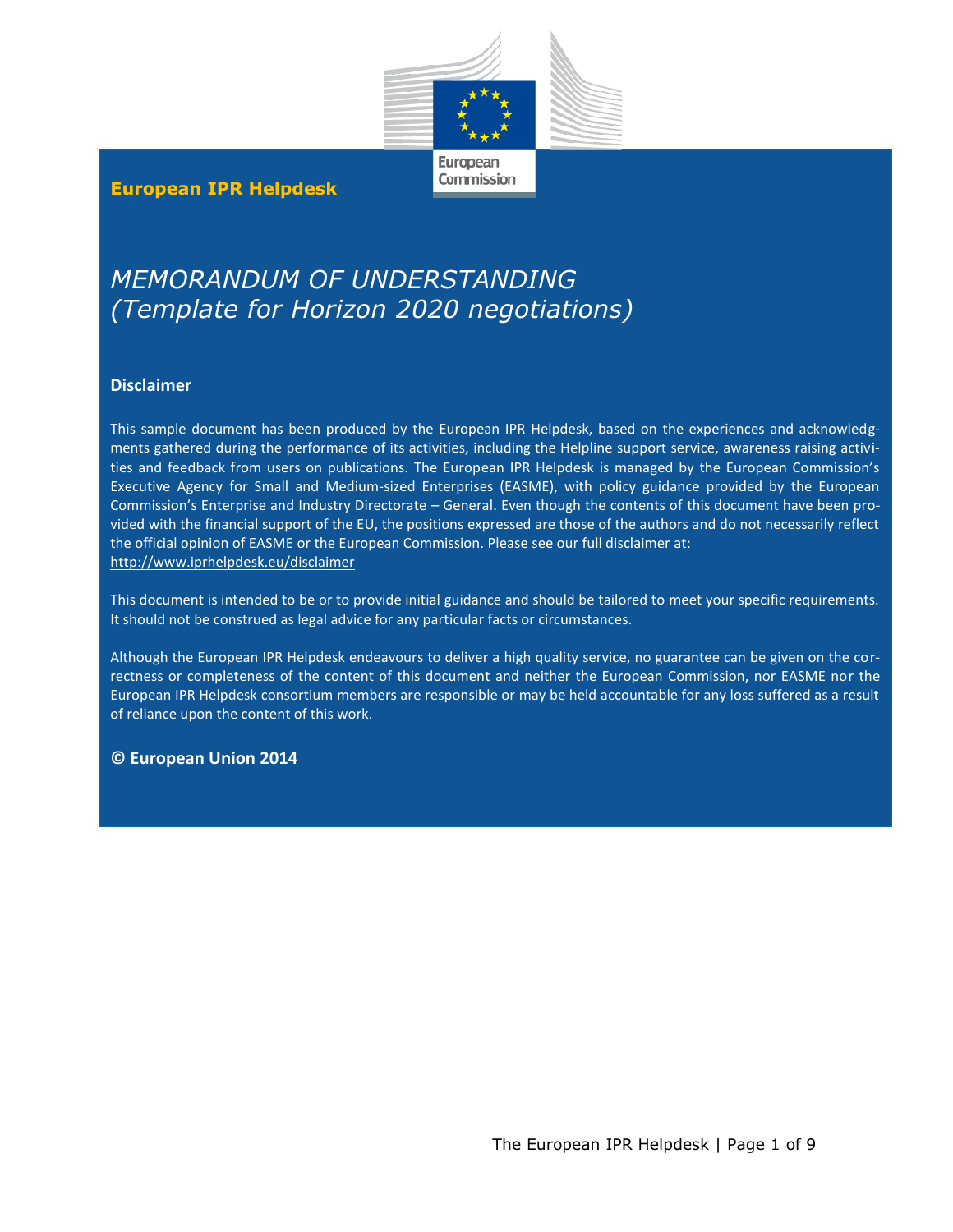

European Commission

## **European IPR Helpdesk**

# *MEMORANDUM OF UNDERSTANDING (Template for Horizon 2020 negotiations)*

#### **Disclaimer**

This sample document has been produced by the European IPR Helpdesk, based on the experiences and acknowledgments gathered during the performance of its activities, including the Helpline support service, awareness raising activities and feedback from users on publications. The European IPR Helpdesk is managed by the European Commission's Executive Agency for Small and Medium-sized Enterprises (EASME), with policy guidance provided by the European Commission's Enterprise and Industry Directorate – General. Even though the contents of this document have been provided with the financial support of the EU, the positions expressed are those of the authors and do not necessarily reflect the official opinion of EASME or the European Commission. Please see our full disclaimer at: <http://www.iprhelpdesk.eu/disclaimer>

This document is intended to be or to provide initial guidance and should be tailored to meet your specific requirements. It should not be construed as legal advice for any particular facts or circumstances.

Although the European IPR Helpdesk endeavours to deliver a high quality service, no guarantee can be given on the correctness or completeness of the content of this document and neither the European Commission, nor EASME nor the European IPR Helpdesk consortium members are responsible or may be held accountable for any loss suffered as a result of reliance upon the content of this work.

#### **© European Union 2014**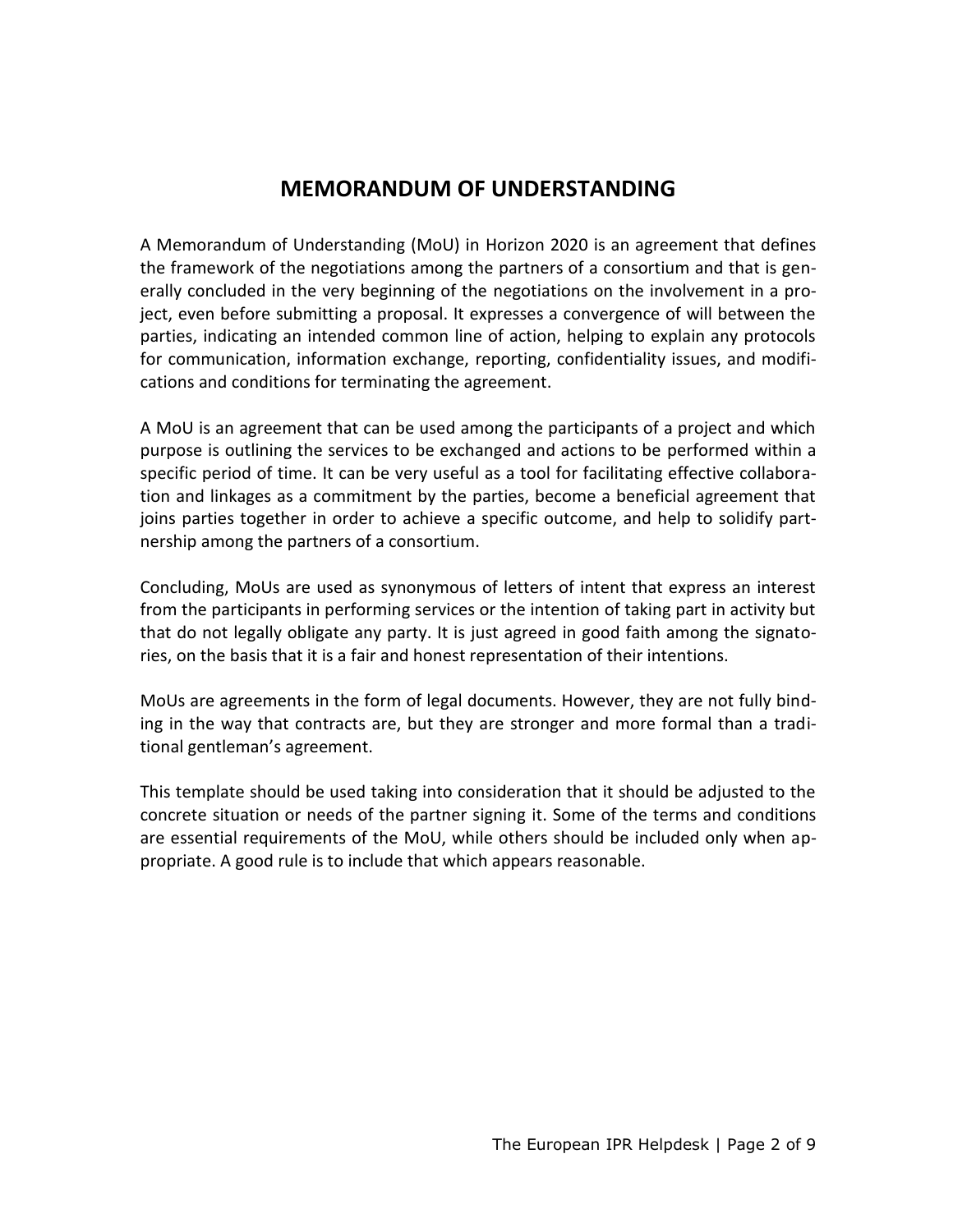## **MEMORANDUM OF UNDERSTANDING**

A Memorandum of Understanding (MoU) in Horizon 2020 is an agreement that defines the framework of the negotiations among the partners of a consortium and that is generally concluded in the very beginning of the negotiations on the involvement in a project, even before submitting a proposal. It expresses a convergence of will between the parties, indicating an intended common line of action, helping to explain any protocols for communication, information exchange, reporting, confidentiality issues, and modifications and conditions for terminating the agreement.

A MoU is an agreement that can be used among the participants of a project and which purpose is outlining the services to be exchanged and actions to be performed within a specific period of time. It can be very useful as a tool for facilitating effective collaboration and linkages as a commitment by the parties, become a beneficial agreement that joins parties together in order to achieve a specific outcome, and help to solidify partnership among the partners of a consortium.

Concluding, MoUs are used as synonymous of letters of intent that express an interest from the participants in performing services or the intention of taking part in activity but that do not legally obligate any party. It is just agreed in good faith among the signatories, on the basis that it is a fair and honest representation of their intentions.

MoUs are agreements in the form of legal documents. However, they are not fully binding in the way that contracts are, but they are stronger and more formal than a traditional gentleman's agreement.

This template should be used taking into consideration that it should be adjusted to the concrete situation or needs of the partner signing it. Some of the terms and conditions are essential requirements of the MoU, while others should be included only when appropriate. A good rule is to include that which appears reasonable.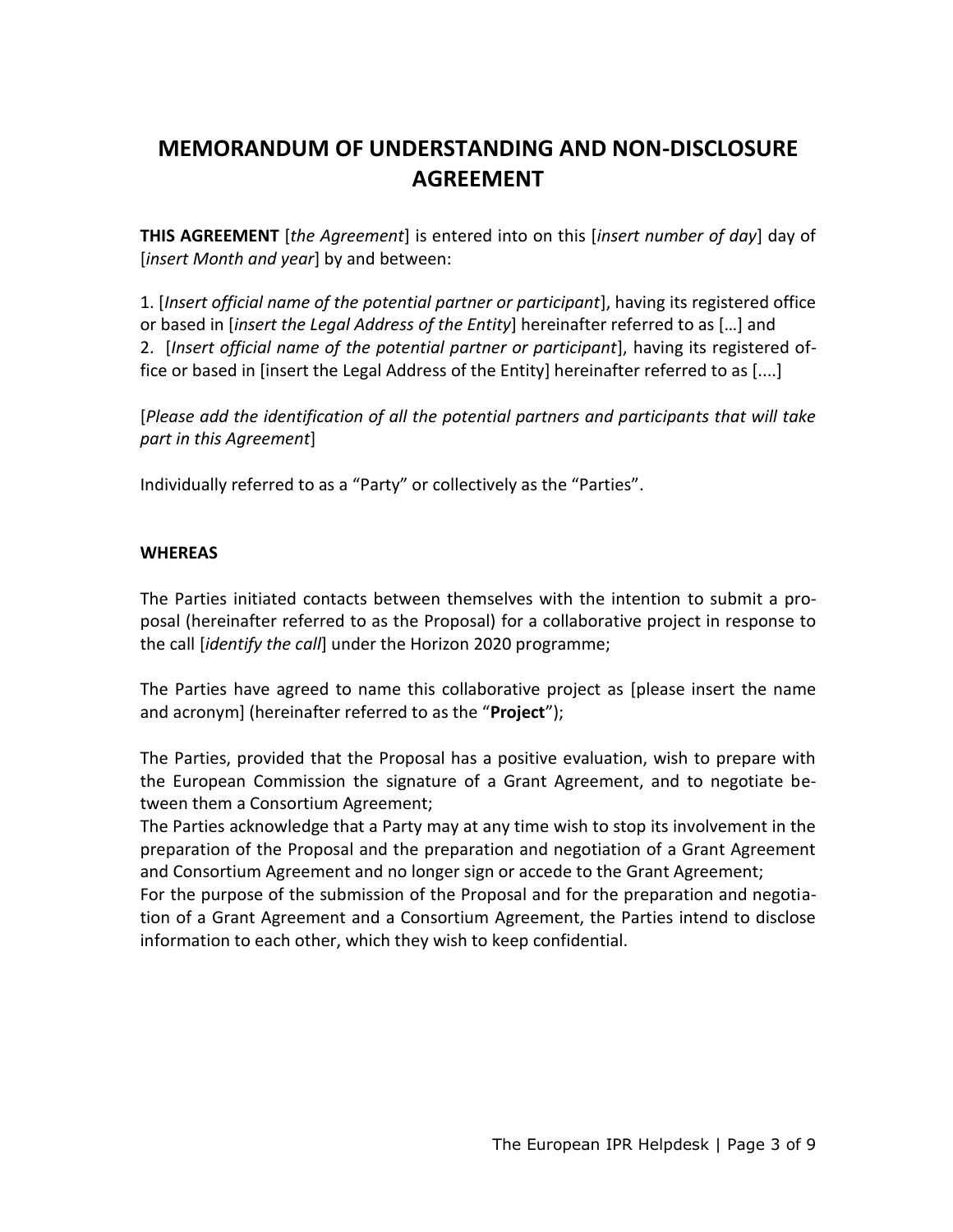## **MEMORANDUM OF UNDERSTANDING AND NON-DISCLOSURE AGREEMENT**

**THIS AGREEMENT** [*the Agreement*] is entered into on this [*insert number of day*] day of [*insert Month and year*] by and between:

1. [*Insert official name of the potential partner or participant*], having its registered office or based in [*insert the Legal Address of the Entity*] hereinafter referred to as […] and 2. [*Insert official name of the potential partner or participant*], having its registered office or based in [insert the Legal Address of the Entity] hereinafter referred to as [....]

[*Please add the identification of all the potential partners and participants that will take part in this Agreement*]

Individually referred to as a "Party" or collectively as the "Parties".

## **WHEREAS**

The Parties initiated contacts between themselves with the intention to submit a proposal (hereinafter referred to as the Proposal) for a collaborative project in response to the call [*identify the call*] under the Horizon 2020 programme;

The Parties have agreed to name this collaborative project as [please insert the name and acronym] (hereinafter referred to as the "**Project**");

The Parties, provided that the Proposal has a positive evaluation, wish to prepare with the European Commission the signature of a Grant Agreement, and to negotiate between them a Consortium Agreement;

The Parties acknowledge that a Party may at any time wish to stop its involvement in the preparation of the Proposal and the preparation and negotiation of a Grant Agreement and Consortium Agreement and no longer sign or accede to the Grant Agreement;

For the purpose of the submission of the Proposal and for the preparation and negotiation of a Grant Agreement and a Consortium Agreement, the Parties intend to disclose information to each other, which they wish to keep confidential.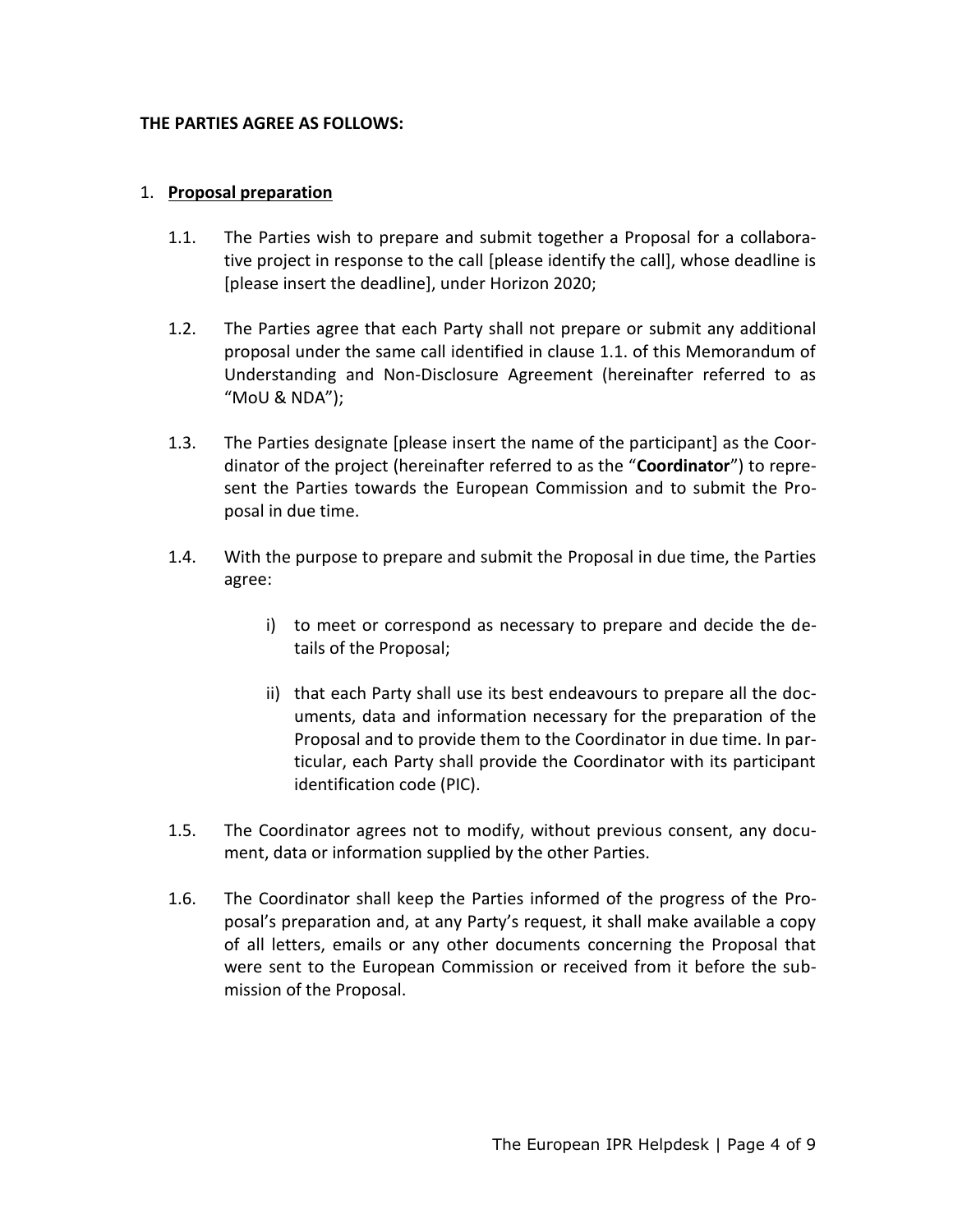#### **THE PARTIES AGREE AS FOLLOWS:**

#### 1. **Proposal preparation**

- 1.1. The Parties wish to prepare and submit together a Proposal for a collaborative project in response to the call [please identify the call], whose deadline is [please insert the deadline], under Horizon 2020;
- 1.2. The Parties agree that each Party shall not prepare or submit any additional proposal under the same call identified in clause 1.1. of this Memorandum of Understanding and Non-Disclosure Agreement (hereinafter referred to as "MoU & NDA");
- 1.3. The Parties designate [please insert the name of the participant] as the Coordinator of the project (hereinafter referred to as the "**Coordinator**") to represent the Parties towards the European Commission and to submit the Proposal in due time.
- 1.4. With the purpose to prepare and submit the Proposal in due time, the Parties agree:
	- i) to meet or correspond as necessary to prepare and decide the details of the Proposal;
	- ii) that each Party shall use its best endeavours to prepare all the documents, data and information necessary for the preparation of the Proposal and to provide them to the Coordinator in due time. In particular, each Party shall provide the Coordinator with its participant identification code (PIC).
- 1.5. The Coordinator agrees not to modify, without previous consent, any document, data or information supplied by the other Parties.
- 1.6. The Coordinator shall keep the Parties informed of the progress of the Proposal's preparation and, at any Party's request, it shall make available a copy of all letters, emails or any other documents concerning the Proposal that were sent to the European Commission or received from it before the submission of the Proposal.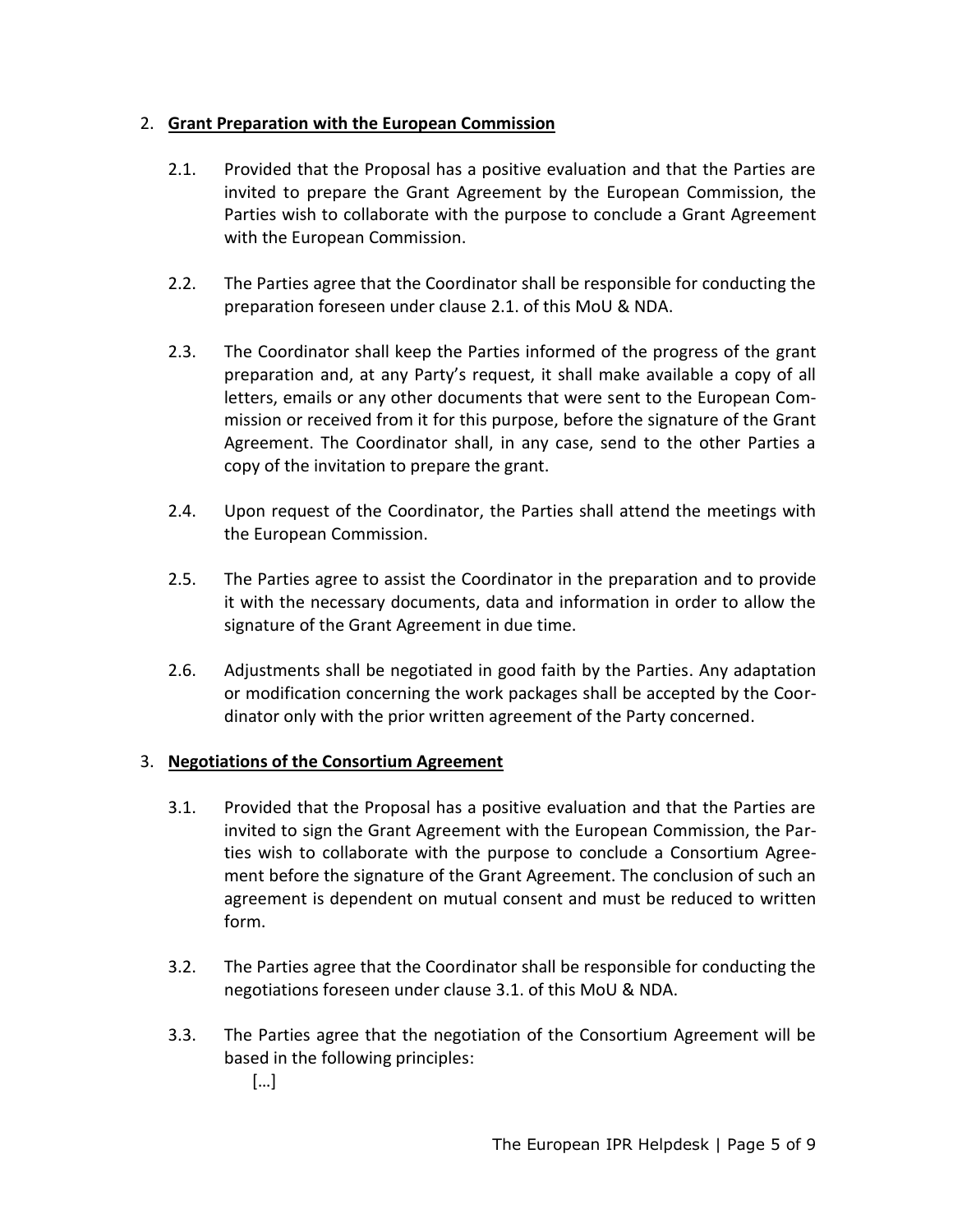## 2. **Grant Preparation with the European Commission**

- 2.1. Provided that the Proposal has a positive evaluation and that the Parties are invited to prepare the Grant Agreement by the European Commission, the Parties wish to collaborate with the purpose to conclude a Grant Agreement with the European Commission.
- 2.2. The Parties agree that the Coordinator shall be responsible for conducting the preparation foreseen under clause 2.1. of this MoU & NDA.
- 2.3. The Coordinator shall keep the Parties informed of the progress of the grant preparation and, at any Party's request, it shall make available a copy of all letters, emails or any other documents that were sent to the European Commission or received from it for this purpose, before the signature of the Grant Agreement. The Coordinator shall, in any case, send to the other Parties a copy of the invitation to prepare the grant.
- 2.4. Upon request of the Coordinator, the Parties shall attend the meetings with the European Commission.
- 2.5. The Parties agree to assist the Coordinator in the preparation and to provide it with the necessary documents, data and information in order to allow the signature of the Grant Agreement in due time.
- 2.6. Adjustments shall be negotiated in good faith by the Parties. Any adaptation or modification concerning the work packages shall be accepted by the Coordinator only with the prior written agreement of the Party concerned.

## 3. **Negotiations of the Consortium Agreement**

- 3.1. Provided that the Proposal has a positive evaluation and that the Parties are invited to sign the Grant Agreement with the European Commission, the Parties wish to collaborate with the purpose to conclude a Consortium Agreement before the signature of the Grant Agreement. The conclusion of such an agreement is dependent on mutual consent and must be reduced to written form.
- 3.2. The Parties agree that the Coordinator shall be responsible for conducting the negotiations foreseen under clause 3.1. of this MoU & NDA.
- 3.3. The Parties agree that the negotiation of the Consortium Agreement will be based in the following principles:
	- […]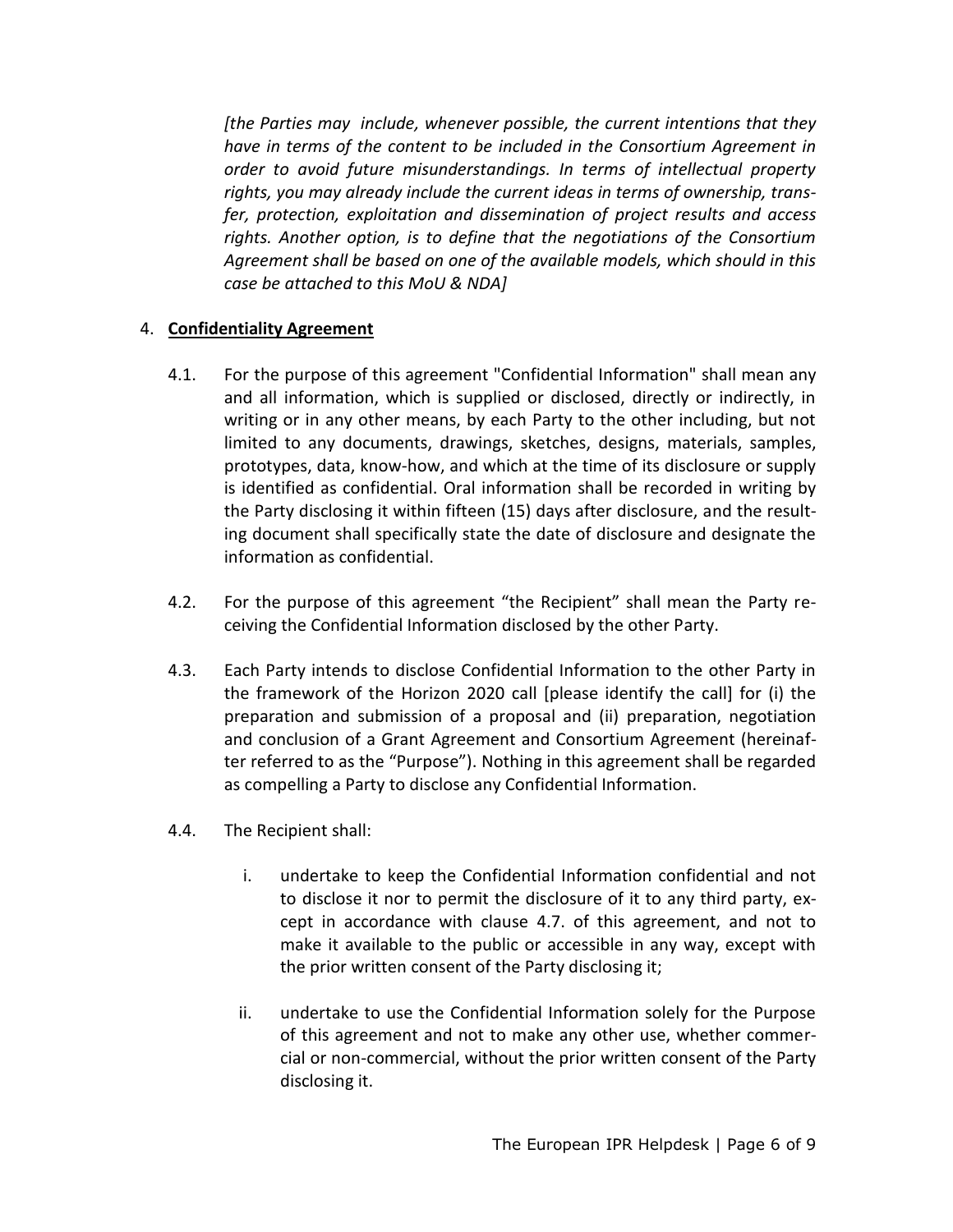*[the Parties may include, whenever possible, the current intentions that they have in terms of the content to be included in the Consortium Agreement in order to avoid future misunderstandings. In terms of intellectual property rights, you may already include the current ideas in terms of ownership, transfer, protection, exploitation and dissemination of project results and access rights. Another option, is to define that the negotiations of the Consortium Agreement shall be based on one of the available models, which should in this case be attached to this MoU & NDA]*

## 4. **Confidentiality Agreement**

- 4.1. For the purpose of this agreement "Confidential Information" shall mean any and all information, which is supplied or disclosed, directly or indirectly, in writing or in any other means, by each Party to the other including, but not limited to any documents, drawings, sketches, designs, materials, samples, prototypes, data, know-how, and which at the time of its disclosure or supply is identified as confidential. Oral information shall be recorded in writing by the Party disclosing it within fifteen (15) days after disclosure, and the resulting document shall specifically state the date of disclosure and designate the information as confidential.
- 4.2. For the purpose of this agreement "the Recipient" shall mean the Party receiving the Confidential Information disclosed by the other Party.
- 4.3. Each Party intends to disclose Confidential Information to the other Party in the framework of the Horizon 2020 call [please identify the call] for (i) the preparation and submission of a proposal and (ii) preparation, negotiation and conclusion of a Grant Agreement and Consortium Agreement (hereinafter referred to as the "Purpose"). Nothing in this agreement shall be regarded as compelling a Party to disclose any Confidential Information.
- 4.4. The Recipient shall:
	- i. undertake to keep the Confidential Information confidential and not to disclose it nor to permit the disclosure of it to any third party, except in accordance with clause 4.7. of this agreement, and not to make it available to the public or accessible in any way, except with the prior written consent of the Party disclosing it;
	- ii. undertake to use the Confidential Information solely for the Purpose of this agreement and not to make any other use, whether commercial or non-commercial, without the prior written consent of the Party disclosing it.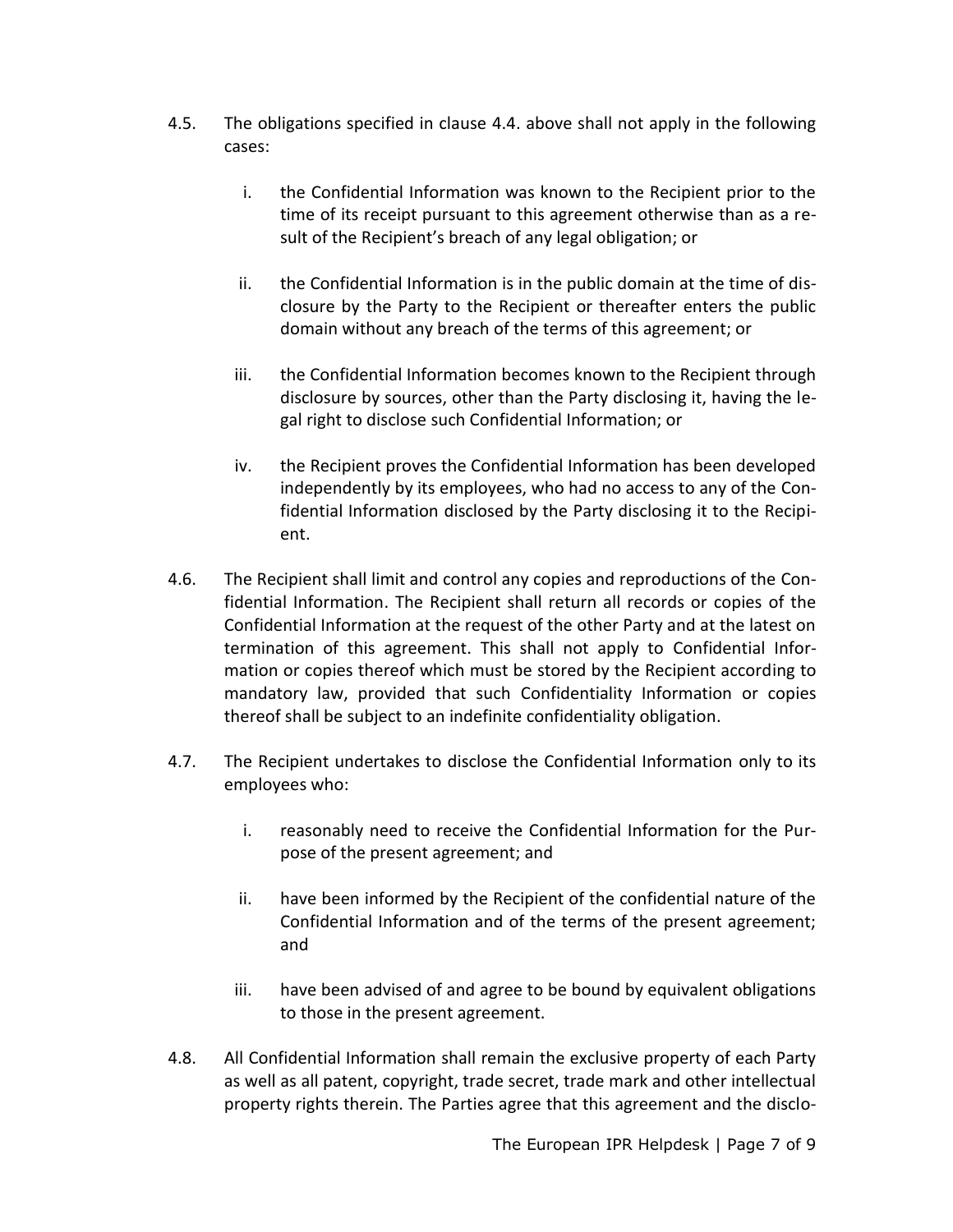- 4.5. The obligations specified in clause 4.4. above shall not apply in the following cases:
	- i. the Confidential Information was known to the Recipient prior to the time of its receipt pursuant to this agreement otherwise than as a result of the Recipient's breach of any legal obligation; or
	- ii. the Confidential Information is in the public domain at the time of disclosure by the Party to the Recipient or thereafter enters the public domain without any breach of the terms of this agreement; or
	- iii. the Confidential Information becomes known to the Recipient through disclosure by sources, other than the Party disclosing it, having the legal right to disclose such Confidential Information; or
	- iv. the Recipient proves the Confidential Information has been developed independently by its employees, who had no access to any of the Confidential Information disclosed by the Party disclosing it to the Recipient.
- 4.6. The Recipient shall limit and control any copies and reproductions of the Confidential Information. The Recipient shall return all records or copies of the Confidential Information at the request of the other Party and at the latest on termination of this agreement. This shall not apply to Confidential Information or copies thereof which must be stored by the Recipient according to mandatory law, provided that such Confidentiality Information or copies thereof shall be subject to an indefinite confidentiality obligation.
- 4.7. The Recipient undertakes to disclose the Confidential Information only to its employees who:
	- i. reasonably need to receive the Confidential Information for the Purpose of the present agreement; and
	- ii. have been informed by the Recipient of the confidential nature of the Confidential Information and of the terms of the present agreement; and
	- iii. have been advised of and agree to be bound by equivalent obligations to those in the present agreement.
- 4.8. All Confidential Information shall remain the exclusive property of each Party as well as all patent, copyright, trade secret, trade mark and other intellectual property rights therein. The Parties agree that this agreement and the disclo-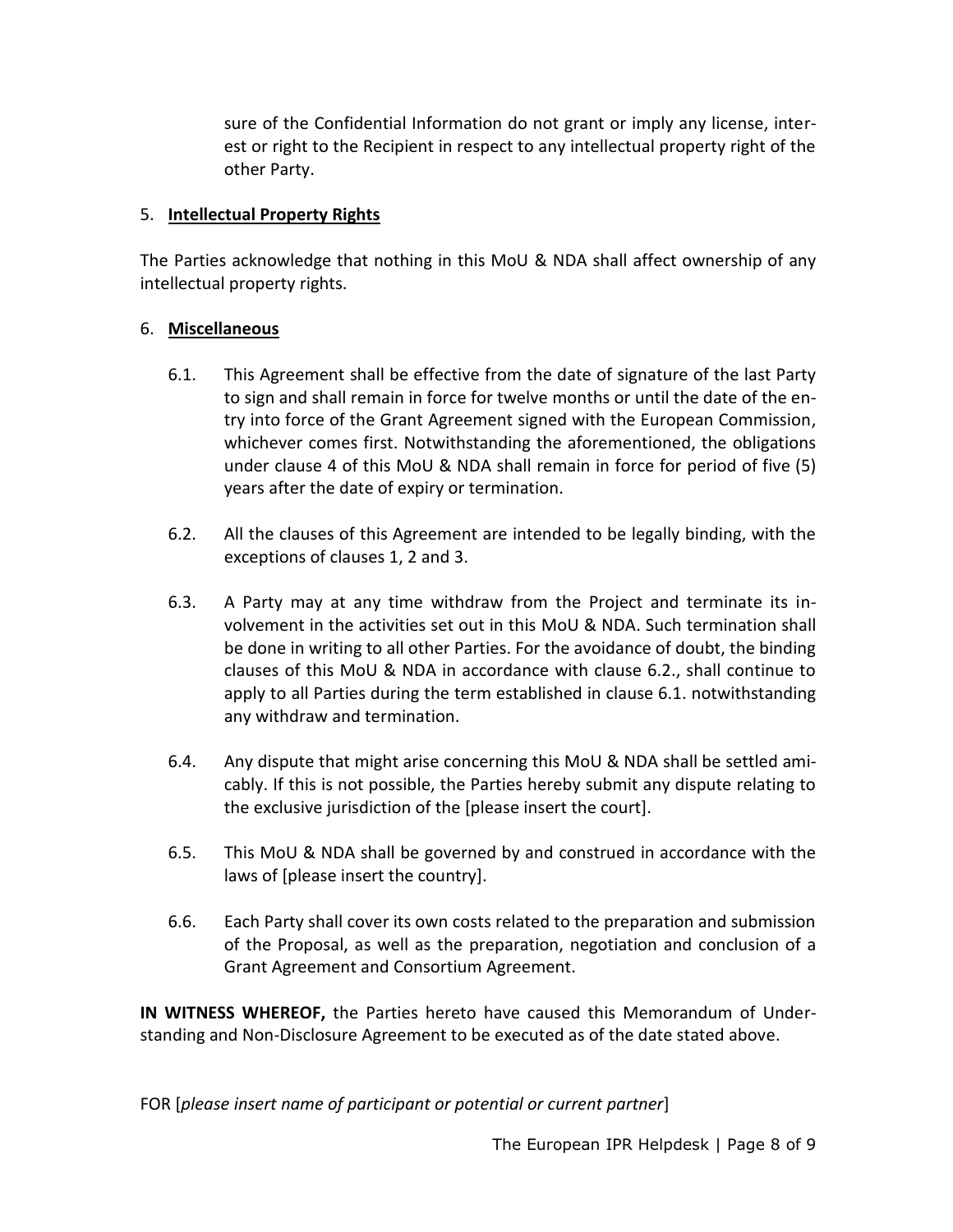sure of the Confidential Information do not grant or imply any license, interest or right to the Recipient in respect to any intellectual property right of the other Party.

## 5. **Intellectual Property Rights**

The Parties acknowledge that nothing in this MoU & NDA shall affect ownership of any intellectual property rights.

## 6. **Miscellaneous**

- 6.1. This Agreement shall be effective from the date of signature of the last Party to sign and shall remain in force for twelve months or until the date of the entry into force of the Grant Agreement signed with the European Commission, whichever comes first. Notwithstanding the aforementioned, the obligations under clause 4 of this MoU & NDA shall remain in force for period of five (5) years after the date of expiry or termination.
- 6.2. All the clauses of this Agreement are intended to be legally binding, with the exceptions of clauses 1, 2 and 3.
- 6.3. A Party may at any time withdraw from the Project and terminate its involvement in the activities set out in this MoU & NDA. Such termination shall be done in writing to all other Parties. For the avoidance of doubt, the binding clauses of this MoU & NDA in accordance with clause 6.2., shall continue to apply to all Parties during the term established in clause 6.1. notwithstanding any withdraw and termination.
- 6.4. Any dispute that might arise concerning this MoU & NDA shall be settled amicably. If this is not possible, the Parties hereby submit any dispute relating to the exclusive jurisdiction of the [please insert the court].
- 6.5. This MoU & NDA shall be governed by and construed in accordance with the laws of [please insert the country].
- 6.6. Each Party shall cover its own costs related to the preparation and submission of the Proposal, as well as the preparation, negotiation and conclusion of a Grant Agreement and Consortium Agreement.

**IN WITNESS WHEREOF,** the Parties hereto have caused this Memorandum of Understanding and Non-Disclosure Agreement to be executed as of the date stated above.

FOR [*please insert name of participant or potential or current partner*]